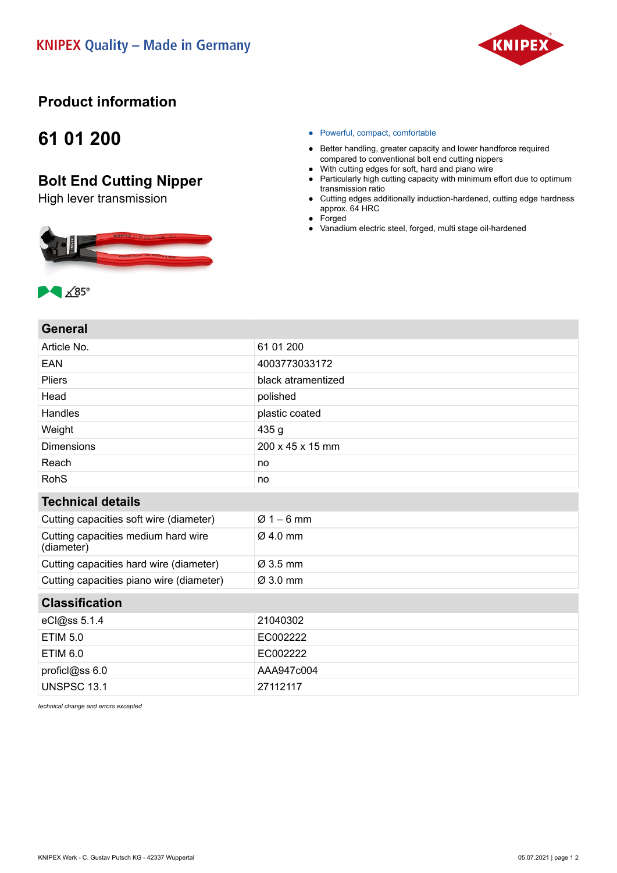

## **Product information**

## **61 01 200**

## **Bolt End Cutting Nipper**

High lever transmission



- Powerful, compact, comfortable
- Better handling, greater capacity and lower handforce required compared to conventional bolt end cutting nippers
- With cutting edges for soft, hard and piano wire
- Particularly high cutting capacity with minimum effort due to optimum transmission ratio
- Cutting edges additionally induction-hardened, cutting edge hardness approx. 64 HRC
- Forged
- Vanadium electric steel, forged, multi stage oil-hardened



| Article No.                                       | 61 01 200            |
|---------------------------------------------------|----------------------|
| <b>EAN</b>                                        | 4003773033172        |
| <b>Pliers</b>                                     | black atramentized   |
| Head                                              | polished             |
| Handles                                           | plastic coated       |
| Weight                                            | 435 g                |
| <b>Dimensions</b>                                 | 200 x 45 x 15 mm     |
| Reach                                             | no                   |
| <b>RohS</b>                                       | no                   |
| <b>Technical details</b>                          |                      |
| Cutting capacities soft wire (diameter)           | $Ø1 - 6$ mm          |
| Cutting capacities medium hard wire<br>(diameter) | $\varnothing$ 4.0 mm |
| Cutting capacities hard wire (diameter)           | Ø 3.5 mm             |
| Cutting capacities piano wire (diameter)          | Ø 3.0 mm             |
| <b>Classification</b>                             |                      |
| eCl@ss 5.1.4                                      | 21040302             |
| <b>ETIM 5.0</b>                                   | EC002222             |
| <b>ETIM 6.0</b>                                   | EC002222             |
| proficl@ss 6.0                                    | AAA947c004           |
| <b>UNSPSC 13.1</b>                                | 27112117             |
|                                                   |                      |

*technical change and errors excepted*